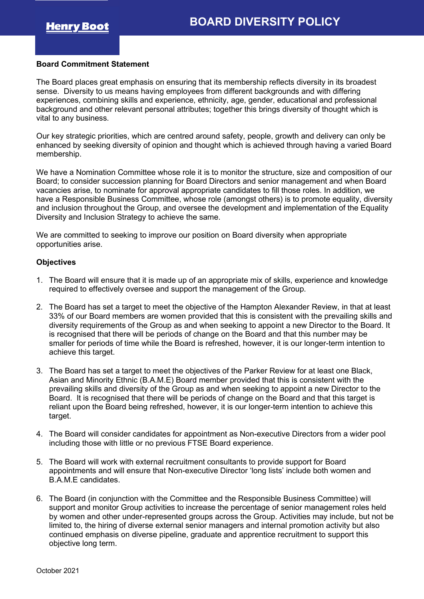## **Board Commitment Statement**

The Board places great emphasis on ensuring that its membership reflects diversity in its broadest sense. Diversity to us means having employees from different backgrounds and with differing experiences, combining skills and experience, ethnicity, age, gender, educational and professional background and other relevant personal attributes; together this brings diversity of thought which is vital to any business.

Our key strategic priorities, which are centred around safety, people, growth and delivery can only be enhanced by seeking diversity of opinion and thought which is achieved through having a varied Board membership.

We have a Nomination Committee whose role it is to monitor the structure, size and composition of our Board; to consider succession planning for Board Directors and senior management and when Board vacancies arise, to nominate for approval appropriate candidates to fill those roles. In addition, we have a Responsible Business Committee, whose role (amongst others) is to promote equality, diversity and inclusion throughout the Group, and oversee the development and implementation of the Equality Diversity and Inclusion Strategy to achieve the same.

We are committed to seeking to improve our position on Board diversity when appropriate opportunities arise.

## **Objectives**

- 1. The Board will ensure that it is made up of an appropriate mix of skills, experience and knowledge required to effectively oversee and support the management of the Group.
- 2. The Board has set a target to meet the objective of the Hampton Alexander Review, in that at least 33% of our Board members are women provided that this is consistent with the prevailing skills and diversity requirements of the Group as and when seeking to appoint a new Director to the Board. It is recognised that there will be periods of change on the Board and that this number may be smaller for periods of time while the Board is refreshed, however, it is our longer-term intention to achieve this target.
- 3. The Board has set a target to meet the objectives of the Parker Review for at least one Black, Asian and Minority Ethnic (B.A.M.E) Board member provided that this is consistent with the prevailing skills and diversity of the Group as and when seeking to appoint a new Director to the Board. It is recognised that there will be periods of change on the Board and that this target is reliant upon the Board being refreshed, however, it is our longer-term intention to achieve this target.
- 4. The Board will consider candidates for appointment as Non-executive Directors from a wider pool including those with little or no previous FTSE Board experience.
- 5. The Board will work with external recruitment consultants to provide support for Board appointments and will ensure that Non-executive Director 'long lists' include both women and B.A.M.E candidates.
- 6. The Board (in conjunction with the Committee and the Responsible Business Committee) will support and monitor Group activities to increase the percentage of senior management roles held by women and other under-represented groups across the Group. Activities may include, but not be limited to, the hiring of diverse external senior managers and internal promotion activity but also continued emphasis on diverse pipeline, graduate and apprentice recruitment to support this objective long term.